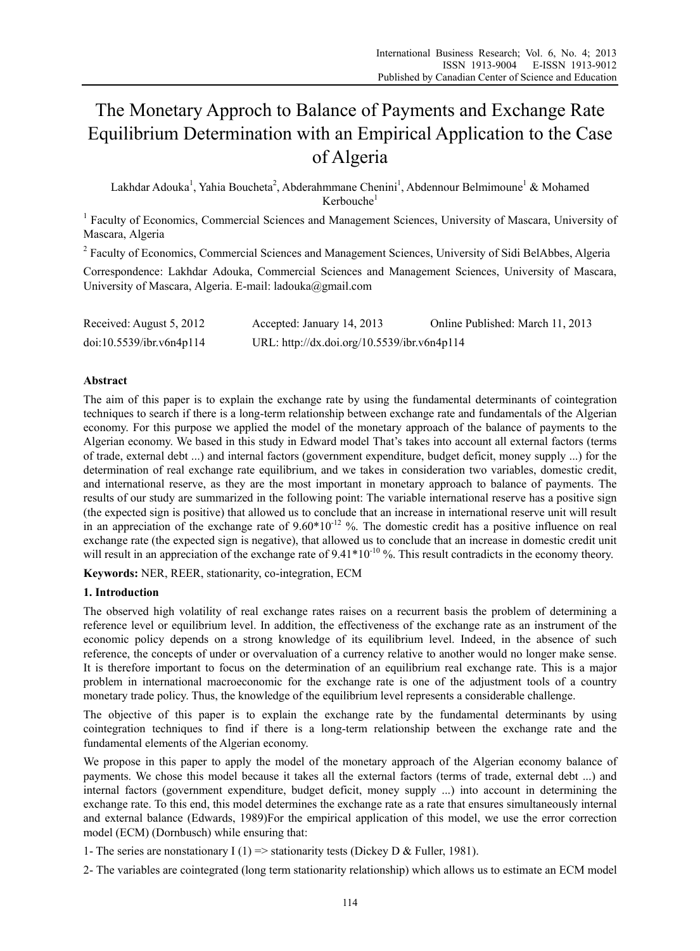# The Monetary Approch to Balance of Payments and Exchange Rate Equilibrium Determination with an Empirical Application to the Case of Algeria

Lakhdar Adouka<sup>1</sup>, Yahia Boucheta<sup>2</sup>, Abderahmmane Chenini<sup>1</sup>, Abdennour Belmimoune<sup>1</sup> & Mohamed  $K$ erbouche $<sup>1</sup>$ </sup>

<sup>1</sup> Faculty of Economics, Commercial Sciences and Management Sciences, University of Mascara, University of Mascara, Algeria

<sup>2</sup> Faculty of Economics, Commercial Sciences and Management Sciences, University of Sidi BelAbbes, Algeria

Correspondence: Lakhdar Adouka, Commercial Sciences and Management Sciences, University of Mascara, University of Mascara, Algeria. E-mail: ladouka@gmail.com

| Received: August 5, 2012 | Accepted: January 14, 2013                  | Online Published: March 11, 2013 |
|--------------------------|---------------------------------------------|----------------------------------|
| doi:10.5539/ibr.v6n4p114 | URL: http://dx.doi.org/10.5539/ibr.v6n4p114 |                                  |

# **Abstract**

The aim of this paper is to explain the exchange rate by using the fundamental determinants of cointegration techniques to search if there is a long-term relationship between exchange rate and fundamentals of the Algerian economy. For this purpose we applied the model of the monetary approach of the balance of payments to the Algerian economy. We based in this study in Edward model That's takes into account all external factors (terms of trade, external debt ...) and internal factors (government expenditure, budget deficit, money supply ...) for the determination of real exchange rate equilibrium, and we takes in consideration two variables, domestic credit, and international reserve, as they are the most important in monetary approach to balance of payments. The results of our study are summarized in the following point: The variable international reserve has a positive sign (the expected sign is positive) that allowed us to conclude that an increase in international reserve unit will result in an appreciation of the exchange rate of  $9.60*10^{-12}$  %. The domestic credit has a positive influence on real exchange rate (the expected sign is negative), that allowed us to conclude that an increase in domestic credit unit will result in an appreciation of the exchange rate of  $9.41*10^{-10}$ %. This result contradicts in the economy theory.

**Keywords:** NER, REER, stationarity, co-integration, ECM

# **1. Introduction**

The observed high volatility of real exchange rates raises on a recurrent basis the problem of determining a reference level or equilibrium level. In addition, the effectiveness of the exchange rate as an instrument of the economic policy depends on a strong knowledge of its equilibrium level. Indeed, in the absence of such reference, the concepts of under or overvaluation of a currency relative to another would no longer make sense. It is therefore important to focus on the determination of an equilibrium real exchange rate. This is a major problem in international macroeconomic for the exchange rate is one of the adjustment tools of a country monetary trade policy. Thus, the knowledge of the equilibrium level represents a considerable challenge.

The objective of this paper is to explain the exchange rate by the fundamental determinants by using cointegration techniques to find if there is a long-term relationship between the exchange rate and the fundamental elements of the Algerian economy.

We propose in this paper to apply the model of the monetary approach of the Algerian economy balance of payments. We chose this model because it takes all the external factors (terms of trade, external debt ...) and internal factors (government expenditure, budget deficit, money supply ...) into account in determining the exchange rate. To this end, this model determines the exchange rate as a rate that ensures simultaneously internal and external balance (Edwards, 1989)For the empirical application of this model, we use the error correction model (ECM) (Dornbusch) while ensuring that:

1- The series are nonstationary I (1) => stationarity tests (Dickey D & Fuller, 1981).

2- The variables are cointegrated (long term stationarity relationship) which allows us to estimate an ECM model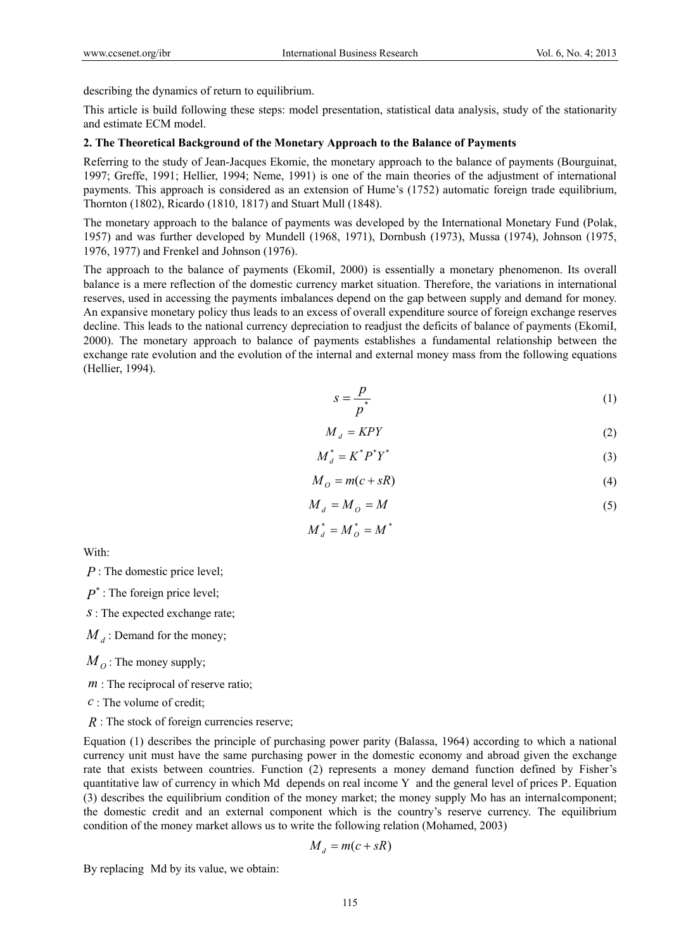describing the dynamics of return to equilibrium.

This article is build following these steps: model presentation, statistical data analysis, study of the stationarity and estimate ECM model.

#### **2. The Theoretical Background of the Monetary Approach to the Balance of Payments**

Referring to the study of Jean-Jacques Ekomie, the monetary approach to the balance of payments (Bourguinat, 1997; Greffe, 1991; Hellier, 1994; Neme, 1991) is one of the main theories of the adjustment of international payments. This approach is considered as an extension of Hume's (1752) automatic foreign trade equilibrium, Thornton (1802), Ricardo (1810, 1817) and Stuart Mull (1848).

The monetary approach to the balance of payments was developed by the International Monetary Fund (Polak, 1957) and was further developed by Mundell (1968, 1971), Dornbush (1973), Mussa (1974), Johnson (1975, 1976, 1977) and Frenkel and Johnson (1976).

The approach to the balance of payments (EkomiI, 2000) is essentially a monetary phenomenon. Its overall balance is a mere reflection of the domestic currency market situation. Therefore, the variations in international reserves, used in accessing the payments imbalances depend on the gap between supply and demand for money. An expansive monetary policy thus leads to an excess of overall expenditure source of foreign exchange reserves decline. This leads to the national currency depreciation to readjust the deficits of balance of payments (EkomiI, 2000). The monetary approach to balance of payments establishes a fundamental relationship between the exchange rate evolution and the evolution of the internal and external money mass from the following equations (Hellier, 1994).

$$
s = \frac{p}{p^*}
$$
 (1)

$$
M_d = KPY \tag{2}
$$

$$
M_d^* = K^* P^* Y^* \tag{3}
$$

$$
M_o = m(c + sR) \tag{4}
$$

$$
M_d = M_O = M \tag{5}
$$

$$
M_{\phantom{a}d}^*=M_{\phantom{a}O}^*=M^*
$$

With:

*P* : The domestic price level;

 $p^*$ : The foreign price level;

*s*: The expected exchange rate;

 $M_d$ : Demand for the money;

 $M_{\Omega}$ : The money supply;

: The reciprocal of reserve ratio; *m*

: The volume of credit; *c*

: The stock of foreign currencies reserve; *R*

Equation (1) describes the principle of purchasing power parity (Balassa, 1964) according to which a national currency unit must have the same purchasing power in the domestic economy and abroad given the exchange rate that exists between countries. Function (2) represents a money demand function defined by Fisher's quantitative law of currency in which Md depends on real income Y and the general level of prices P. Equation (3) describes the equilibrium condition of the money market; the money supply Mo has an internalcomponent; the domestic credit and an external component which is the country's reserve currency. The equilibrium condition of the money market allows us to write the following relation (Mohamed, 2003)

$$
M_d = m(c + sR)
$$

By replacing Md by its value, we obtain: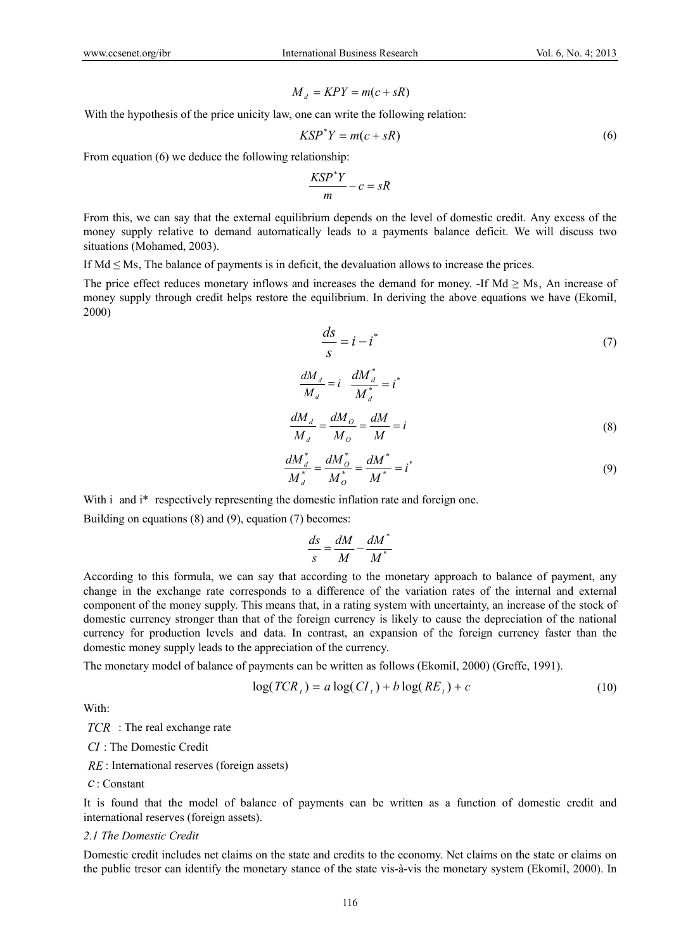$$
M_d = KPY = m(c + sR)
$$

With the hypothesis of the price unicity law, one can write the following relation:

$$
KSP^*Y = m(c + sR) \tag{6}
$$

From equation (6) we deduce the following relationship:

$$
\frac{KSP^*Y}{m} - c = sR
$$

From this, we can say that the external equilibrium depends on the level of domestic credit. Any excess of the money supply relative to demand automatically leads to a payments balance deficit. We will discuss two situations (Mohamed, 2003).

If  $Md \leq Ms$ , The balance of payments is in deficit, the devaluation allows to increase the prices.

The price effect reduces monetary inflows and increases the demand for money. -If  $Md \geq Ms$ , An increase of money supply through credit helps restore the equilibrium. In deriving the above equations we have (EkomiI, 2000)

$$
\frac{ds}{s} = i - i^*
$$
\n
$$
\frac{dM_d}{M_d} = i \frac{dM_d^*}{M_d^*} = i^*
$$
\n
$$
\frac{dM_d}{M_d} = \frac{dM_O}{M_O} = \frac{dM}{M} = i
$$
\n(8)

$$
\frac{dM_d^*}{M_d^*} = \frac{dM_o^*}{M_o^*} = \frac{dM^*}{M^*} = i^*
$$
\n(9)

With i and i<sup>\*</sup> respectively representing the domestic inflation rate and foreign one.

Building on equations (8) and (9), equation (7) becomes:

$$
\frac{ds}{s} = \frac{dM}{M} - \frac{dM^*}{M^*}
$$

According to this formula, we can say that according to the monetary approach to balance of payment, any change in the exchange rate corresponds to a difference of the variation rates of the internal and external component of the money supply. This means that, in a rating system with uncertainty, an increase of the stock of domestic currency stronger than that of the foreign currency is likely to cause the depreciation of the national currency for production levels and data. In contrast, an expansion of the foreign currency faster than the domestic money supply leads to the appreciation of the currency.

The monetary model of balance of payments can be written as follows (EkomiI, 2000) (Greffe, 1991).

$$
log(TCRt) = a log(CIt) + b log(REt) + c
$$
\n(10)

With:

: The real exchange rate *TCR*

: The Domestic Credit *CI*

: International reserves (foreign assets) *RE*

: Constant *c*

It is found that the model of balance of payments can be written as a function of domestic credit and international reserves (foreign assets).

#### *2.1 The Domestic Credit*

Domestic credit includes net claims on the state and credits to the economy. Net claims on the state or claims on the public tresor can identify the monetary stance of the state vis-à-vis the monetary system (EkomiI, 2000). In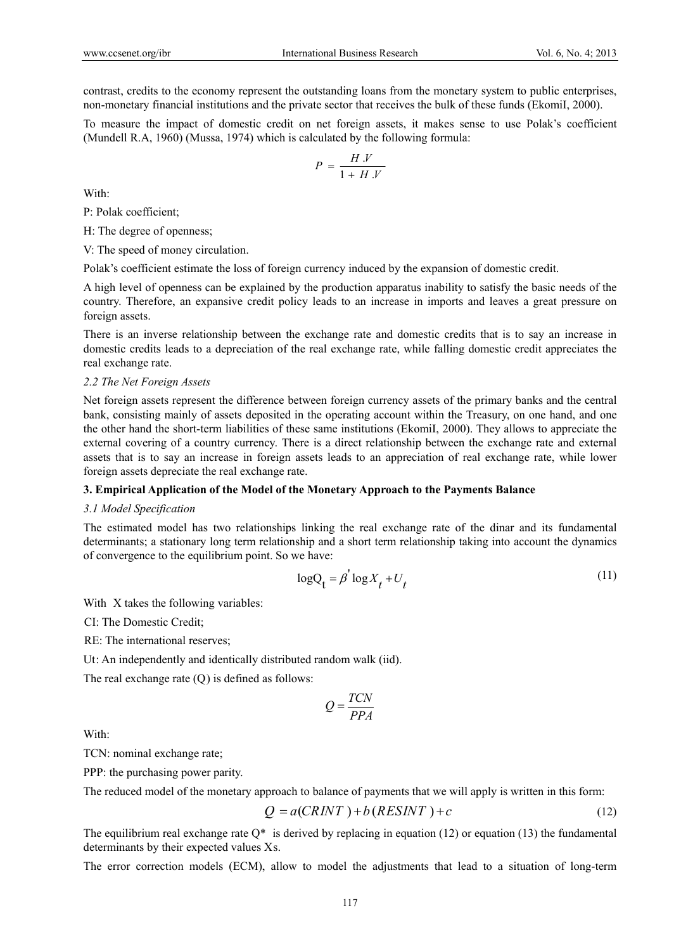contrast, credits to the economy represent the outstanding loans from the monetary system to public enterprises, non-monetary financial institutions and the private sector that receives the bulk of these funds (EkomiI, 2000).

To measure the impact of domestic credit on net foreign assets, it makes sense to use Polak's coefficient (Mundell R.A, 1960) (Mussa, 1974) which is calculated by the following formula:

$$
P = \frac{H.V}{1 + H.V}
$$

With:

P: Polak coefficient;

H: The degree of openness;

V: The speed of money circulation.

Polak's coefficient estimate the loss of foreign currency induced by the expansion of domestic credit.

A high level of openness can be explained by the production apparatus inability to satisfy the basic needs of the country. Therefore, an expansive credit policy leads to an increase in imports and leaves a great pressure on foreign assets.

There is an inverse relationship between the exchange rate and domestic credits that is to say an increase in domestic credits leads to a depreciation of the real exchange rate, while falling domestic credit appreciates the real exchange rate.

#### *2.2 The Net Foreign Assets*

Net foreign assets represent the difference between foreign currency assets of the primary banks and the central bank, consisting mainly of assets deposited in the operating account within the Treasury, on one hand, and one the other hand the short-term liabilities of these same institutions (EkomiI, 2000). They allows to appreciate the external covering of a country currency. There is a direct relationship between the exchange rate and external assets that is to say an increase in foreign assets leads to an appreciation of real exchange rate, while lower foreign assets depreciate the real exchange rate.

#### **3. Empirical Application of the Model of the Monetary Approach to the Payments Balance**

#### *3.1 Model Specification*

The estimated model has two relationships linking the real exchange rate of the dinar and its fundamental determinants; a stationary long term relationship and a short term relationship taking into account the dynamics of convergence to the equilibrium point. So we have:

$$
\log Q_t = \beta' \log X_t + U_t \tag{11}
$$

With X takes the following variables:

CI: The Domestic Credit;

RE: The international reserves;

Ut: An independently and identically distributed random walk (iid).

The real exchange rate  $(Q)$  is defined as follows:

$$
Q = \frac{TCN}{PPA}
$$

With:

TCN: nominal exchange rate;

PPP: the purchasing power parity.

The reduced model of the monetary approach to balance of payments that we will apply is written in this form:

$$
Q = a(CRINT) + b(RESINT) + c
$$
\n(12)

The equilibrium real exchange rate  $Q^*$  is derived by replacing in equation (12) or equation (13) the fundamental determinants by their expected values Xs.

The error correction models (ECM), allow to model the adjustments that lead to a situation of long-term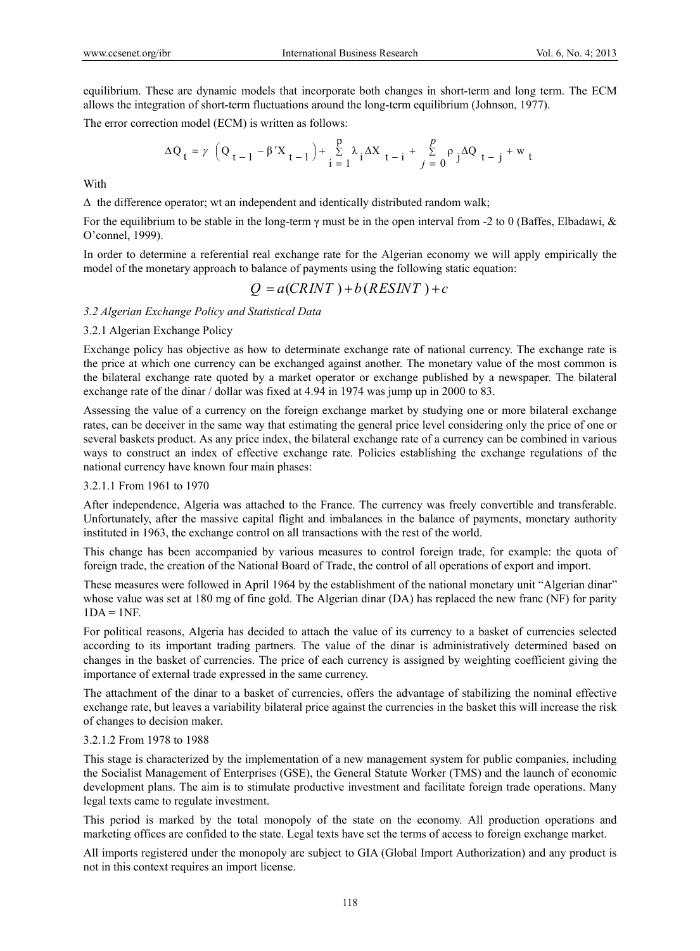equilibrium. These are dynamic models that incorporate both changes in short-term and long term. The ECM allows the integration of short-term fluctuations around the long-term equilibrium (Johnson, 1977).

The error correction model (ECM) is written as follows:

$$
\Delta Q_{t} = \gamma \left( Q_{t-1} - \beta' X_{t-1} \right) + \sum_{i=1}^{p} \lambda_{i} \Delta X_{t-i} + \sum_{j=0}^{p} \rho_{j} \Delta Q_{t-j} + w_{t}
$$

With

 $\Delta$  the difference operator; wt an independent and identically distributed random walk;

For the equilibrium to be stable in the long-term  $\gamma$  must be in the open interval from -2 to 0 (Baffes, Elbadawi, & O'connel, 1999).

In order to determine a referential real exchange rate for the Algerian economy we will apply empirically the model of the monetary approach to balance of payments using the following static equation:

$$
Q = a(CRINT) + b(RESINT) + c
$$

*3.2 Algerian Exchange Policy and Statistical Data* 

# 3.2.1 Algerian Exchange Policy

Exchange policy has objective as how to determinate exchange rate of national currency. The exchange rate is the price at which one currency can be exchanged against another. The monetary value of the most common is the bilateral exchange rate quoted by a market operator or exchange published by a newspaper. The bilateral exchange rate of the dinar / dollar was fixed at 4.94 in 1974 was jump up in 2000 to 83.

Assessing the value of a currency on the foreign exchange market by studying one or more bilateral exchange rates, can be deceiver in the same way that estimating the general price level considering only the price of one or several baskets product. As any price index, the bilateral exchange rate of a currency can be combined in various ways to construct an index of effective exchange rate. Policies establishing the exchange regulations of the national currency have known four main phases:

### 3.2.1.1 From 1961 to 1970

After independence, Algeria was attached to the France. The currency was freely convertible and transferable. Unfortunately, after the massive capital flight and imbalances in the balance of payments, monetary authority instituted in 1963, the exchange control on all transactions with the rest of the world.

This change has been accompanied by various measures to control foreign trade, for example: the quota of foreign trade, the creation of the National Board of Trade, the control of all operations of export and import.

These measures were followed in April 1964 by the establishment of the national monetary unit "Algerian dinar" whose value was set at 180 mg of fine gold. The Algerian dinar (DA) has replaced the new franc (NF) for parity  $1DA = 1NF$ 

For political reasons, Algeria has decided to attach the value of its currency to a basket of currencies selected according to its important trading partners. The value of the dinar is administratively determined based on changes in the basket of currencies. The price of each currency is assigned by weighting coefficient giving the importance of external trade expressed in the same currency.

The attachment of the dinar to a basket of currencies, offers the advantage of stabilizing the nominal effective exchange rate, but leaves a variability bilateral price against the currencies in the basket this will increase the risk of changes to decision maker.

## 3.2.1.2 From 1978 to 1988

This stage is characterized by the implementation of a new management system for public companies, including the Socialist Management of Enterprises (GSE), the General Statute Worker (TMS) and the launch of economic development plans. The aim is to stimulate productive investment and facilitate foreign trade operations. Many legal texts came to regulate investment.

This period is marked by the total monopoly of the state on the economy. All production operations and marketing offices are confided to the state. Legal texts have set the terms of access to foreign exchange market.

All imports registered under the monopoly are subject to GIA (Global Import Authorization) and any product is not in this context requires an import license.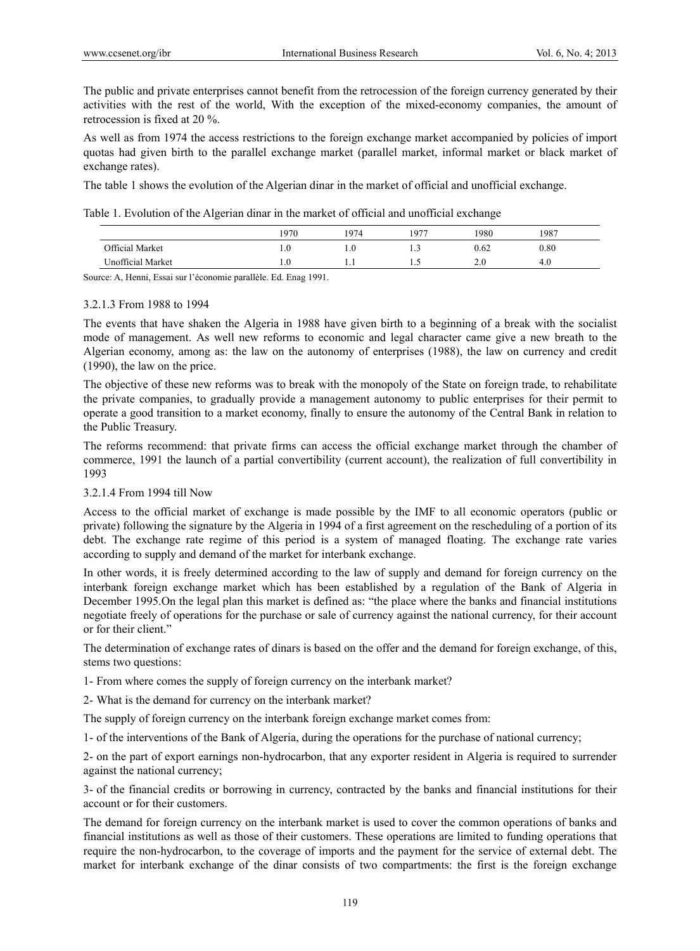The public and private enterprises cannot benefit from the retrocession of the foreign currency generated by their activities with the rest of the world, With the exception of the mixed-economy companies, the amount of retrocession is fixed at 20 %.

As well as from 1974 the access restrictions to the foreign exchange market accompanied by policies of import quotas had given birth to the parallel exchange market (parallel market, informal market or black market of exchange rates).

The table 1 shows the evolution of the Algerian dinar in the market of official and unofficial exchange.

Table 1. Evolution of the Algerian dinar in the market of official and unofficial exchange

|                          | 1970 | 1974 | 1977 | 1980 | 1987 |
|--------------------------|------|------|------|------|------|
| <b>Official Market</b>   | 0.1  | 1.U  | .    | 0.62 | 0.80 |
| <b>Unofficial Market</b> | 1.U  | .    | .    | 4.V  | 4.U  |

Source: A, Henni, Essai sur l'économie parallèle. Ed. Enag 1991.

### 3.2.1.3 From 1988 to 1994

The events that have shaken the Algeria in 1988 have given birth to a beginning of a break with the socialist mode of management. As well new reforms to economic and legal character came give a new breath to the Algerian economy, among as: the law on the autonomy of enterprises (1988), the law on currency and credit (1990), the law on the price.

The objective of these new reforms was to break with the monopoly of the State on foreign trade, to rehabilitate the private companies, to gradually provide a management autonomy to public enterprises for their permit to operate a good transition to a market economy, finally to ensure the autonomy of the Central Bank in relation to the Public Treasury.

The reforms recommend: that private firms can access the official exchange market through the chamber of commerce, 1991 the launch of a partial convertibility (current account), the realization of full convertibility in 1993

# 3.2.1.4 From 1994 till Now

Access to the official market of exchange is made possible by the IMF to all economic operators (public or private) following the signature by the Algeria in 1994 of a first agreement on the rescheduling of a portion of its debt. The exchange rate regime of this period is a system of managed floating. The exchange rate varies according to supply and demand of the market for interbank exchange.

In other words, it is freely determined according to the law of supply and demand for foreign currency on the interbank foreign exchange market which has been established by a regulation of the Bank of Algeria in December 1995.On the legal plan this market is defined as: "the place where the banks and financial institutions negotiate freely of operations for the purchase or sale of currency against the national currency, for their account or for their client."

The determination of exchange rates of dinars is based on the offer and the demand for foreign exchange, of this, stems two questions:

1- From where comes the supply of foreign currency on the interbank market?

2- What is the demand for currency on the interbank market?

The supply of foreign currency on the interbank foreign exchange market comes from:

1- of the interventions of the Bank of Algeria, during the operations for the purchase of national currency;

2- on the part of export earnings non-hydrocarbon, that any exporter resident in Algeria is required to surrender against the national currency;

3- of the financial credits or borrowing in currency, contracted by the banks and financial institutions for their account or for their customers.

The demand for foreign currency on the interbank market is used to cover the common operations of banks and financial institutions as well as those of their customers. These operations are limited to funding operations that require the non-hydrocarbon, to the coverage of imports and the payment for the service of external debt. The market for interbank exchange of the dinar consists of two compartments: the first is the foreign exchange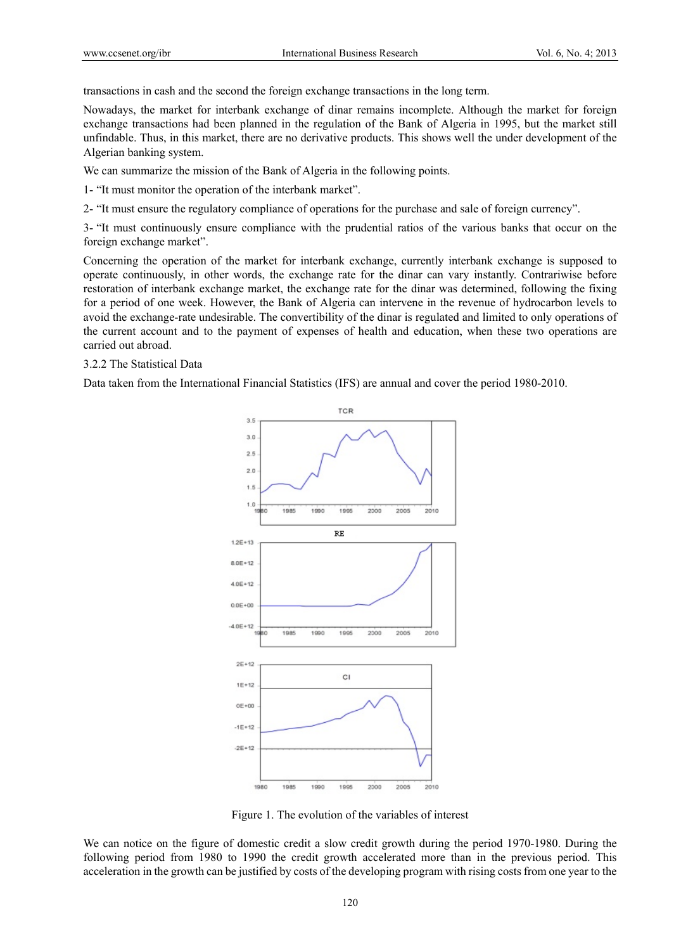transactions in cash and the second the foreign exchange transactions in the long term.

Nowadays, the market for interbank exchange of dinar remains incomplete. Although the market for foreign exchange transactions had been planned in the regulation of the Bank of Algeria in 1995, but the market still unfindable. Thus, in this market, there are no derivative products. This shows well the under development of the Algerian banking system.

We can summarize the mission of the Bank of Algeria in the following points.

1- "It must monitor the operation of the interbank market".

2- "It must ensure the regulatory compliance of operations for the purchase and sale of foreign currency".

3- "It must continuously ensure compliance with the prudential ratios of the various banks that occur on the foreign exchange market".

Concerning the operation of the market for interbank exchange, currently interbank exchange is supposed to operate continuously, in other words, the exchange rate for the dinar can vary instantly. Contrariwise before restoration of interbank exchange market, the exchange rate for the dinar was determined, following the fixing for a period of one week. However, the Bank of Algeria can intervene in the revenue of hydrocarbon levels to avoid the exchange-rate undesirable. The convertibility of the dinar is regulated and limited to only operations of the current account and to the payment of expenses of health and education, when these two operations are carried out abroad.

#### 3.2.2 The Statistical Data

Data taken from the International Financial Statistics (IFS) are annual and cover the period 1980-2010.



Figure 1. The evolution of the variables of interest

We can notice on the figure of domestic credit a slow credit growth during the period 1970-1980. During the following period from 1980 to 1990 the credit growth accelerated more than in the previous period. This acceleration in the growth can be justified by costs of the developing program with rising costs from one year to the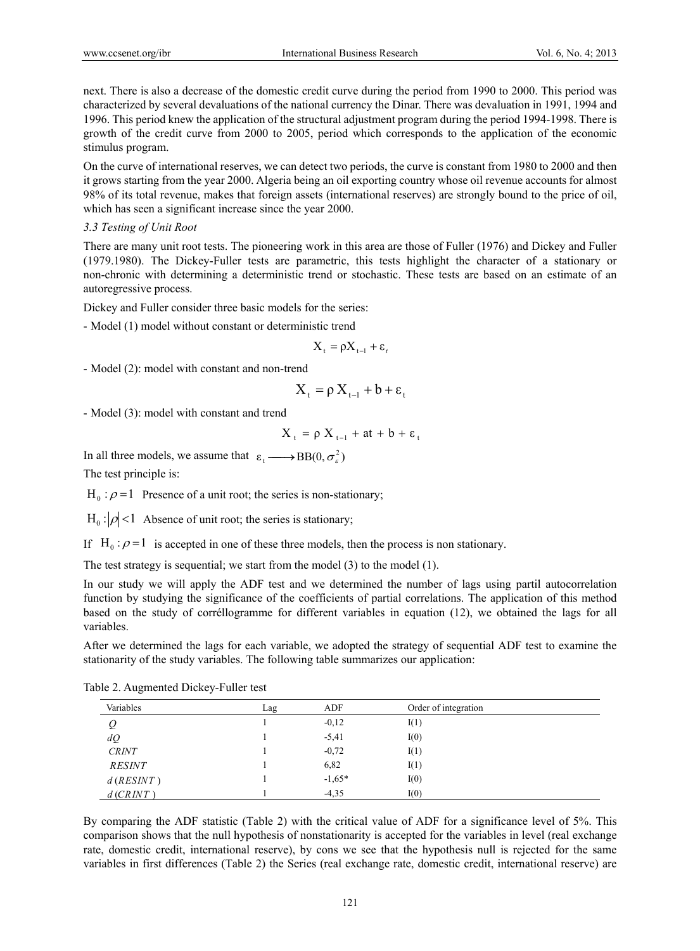next. There is also a decrease of the domestic credit curve during the period from 1990 to 2000. This period was characterized by several devaluations of the national currency the Dinar. There was devaluation in 1991, 1994 and 1996. This period knew the application of the structural adjustment program during the period 1994-1998. There is growth of the credit curve from 2000 to 2005, period which corresponds to the application of the economic stimulus program.

On the curve of international reserves, we can detect two periods, the curve is constant from 1980 to 2000 and then it grows starting from the year 2000. Algeria being an oil exporting country whose oil revenue accounts for almost 98% of its total revenue, makes that foreign assets (international reserves) are strongly bound to the price of oil, which has seen a significant increase since the year 2000.

# *3.3 Testing of Unit Root*

There are many unit root tests. The pioneering work in this area are those of Fuller (1976) and Dickey and Fuller (1979.1980). The Dickey-Fuller tests are parametric, this tests highlight the character of a stationary or non-chronic with determining a deterministic trend or stochastic. These tests are based on an estimate of an autoregressive process.

Dickey and Fuller consider three basic models for the series:

- Model (1) model without constant or deterministic trend

$$
X_t = \rho X_{t-1} + \varepsilon_t
$$

- Model (2): model with constant and non-trend

$$
X_t = \rho X_{t-1} + b + \varepsilon_t
$$

- Model (3): model with constant and trend

$$
X_t = \rho X_{t-1} + at + b + \varepsilon_t
$$

In all three models, we assume that  $\varepsilon_t \longrightarrow BB(0, \sigma_{\varepsilon}^2)$ 

The test principle is:

 $H_0$ :  $\rho = 1$  Presence of a unit root; the series is non-stationary;

 $H_0$ :  $|\rho|$  < 1 Absence of unit root; the series is stationary;

If  $H_0: \rho = 1$  is accepted in one of these three models, then the process is non stationary.

The test strategy is sequential; we start from the model (3) to the model (1).

In our study we will apply the ADF test and we determined the number of lags using partil autocorrelation function by studying the significance of the coefficients of partial correlations. The application of this method based on the study of corréllogramme for different variables in equation (12), we obtained the lags for all variables.

After we determined the lags for each variable, we adopted the strategy of sequential ADF test to examine the stationarity of the study variables. The following table summarizes our application:

| Variables     | Lag | ADF      | Order of integration |  |
|---------------|-----|----------|----------------------|--|
| Q             |     | $-0,12$  | I(1)                 |  |
| dO            |     | $-5,41$  | I(0)                 |  |
| <b>CRINT</b>  |     | $-0,72$  | I(1)                 |  |
| <b>RESINT</b> |     | 6,82     | I(1)                 |  |
| d(RESINT)     |     | $-1,65*$ | I(0)                 |  |
| $d$ (CRINT)   |     | $-4,35$  | I(0)                 |  |

Table 2. Augmented Dickey-Fuller test

By comparing the ADF statistic (Table 2) with the critical value of ADF for a significance level of 5%. This comparison shows that the null hypothesis of nonstationarity is accepted for the variables in level (real exchange rate, domestic credit, international reserve), by cons we see that the hypothesis null is rejected for the same variables in first differences (Table 2) the Series (real exchange rate, domestic credit, international reserve) are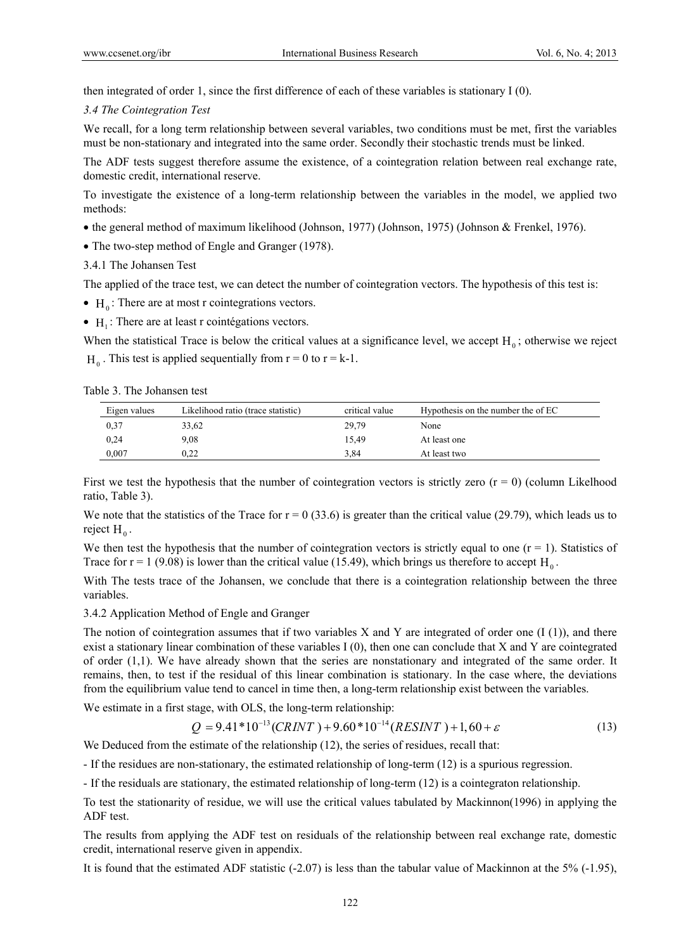then integrated of order 1, since the first difference of each of these variables is stationary I (0).

#### *3.4 The Cointegration Test*

We recall, for a long term relationship between several variables, two conditions must be met, first the variables must be non-stationary and integrated into the same order. Secondly their stochastic trends must be linked.

The ADF tests suggest therefore assume the existence, of a cointegration relation between real exchange rate, domestic credit, international reserve.

To investigate the existence of a long-term relationship between the variables in the model, we applied two methods:

- the general method of maximum likelihood (Johnson, 1977) (Johnson, 1975) (Johnson & Frenkel, 1976).
- The two-step method of Engle and Granger (1978).
- 3.4.1 The Johansen Test

The applied of the trace test, we can detect the number of cointegration vectors. The hypothesis of this test is:

- $H_0$ : There are at most r cointegrations vectors.
- $H_1$ : There are at least r cointégations vectors.

When the statistical Trace is below the critical values at a significance level, we accept  $H_0$ ; otherwise we reject  $H_0$ . This test is applied sequentially from  $r = 0$  to  $r = k-1$ .

Table 3. The Johansen test

| Eigen values | Likelihood ratio (trace statistic) | critical value | Hypothesis on the number the of EC |
|--------------|------------------------------------|----------------|------------------------------------|
| 0.37         | 33,62                              | 29.79          | None                               |
| 0.24         | 9.08                               | 15.49          | At least one                       |
| 0,007        | ).22                               | 3.84           | At least two                       |

First we test the hypothesis that the number of cointegration vectors is strictly zero  $(r = 0)$  (column Likelhood ratio, Table 3).

We note that the statistics of the Trace for  $r = 0$  (33.6) is greater than the critical value (29.79), which leads us to reject  $H_0$ .

We then test the hypothesis that the number of cointegration vectors is strictly equal to one  $(r = 1)$ . Statistics of Trace for  $r = 1$  (9.08) is lower than the critical value (15.49), which brings us therefore to accept H<sub>0</sub>.

With The tests trace of the Johansen, we conclude that there is a cointegration relationship between the three variables.

#### 3.4.2 Application Method of Engle and Granger

The notion of cointegration assumes that if two variables X and Y are integrated of order one  $(I(1))$ , and there exist a stationary linear combination of these variables I (0), then one can conclude that X and Y are cointegrated of order (1,1). We have already shown that the series are nonstationary and integrated of the same order. It remains, then, to test if the residual of this linear combination is stationary. In the case where, the deviations from the equilibrium value tend to cancel in time then, a long-term relationship exist between the variables.

We estimate in a first stage, with OLS, the long-term relationship:

$$
Q = 9.41*10^{-13}(CRINT) + 9.60*10^{-14}(RESINT) + 1,60 + \varepsilon
$$
\n(13)

We Deduced from the estimate of the relationship (12), the series of residues, recall that:

- If the residues are non-stationary, the estimated relationship of long-term (12) is a spurious regression.

- If the residuals are stationary, the estimated relationship of long-term (12) is a cointegraton relationship.

To test the stationarity of residue, we will use the critical values tabulated by Mackinnon(1996) in applying the ADF test.

The results from applying the ADF test on residuals of the relationship between real exchange rate, domestic credit, international reserve given in appendix.

It is found that the estimated ADF statistic (-2.07) is less than the tabular value of Mackinnon at the 5% (-1.95),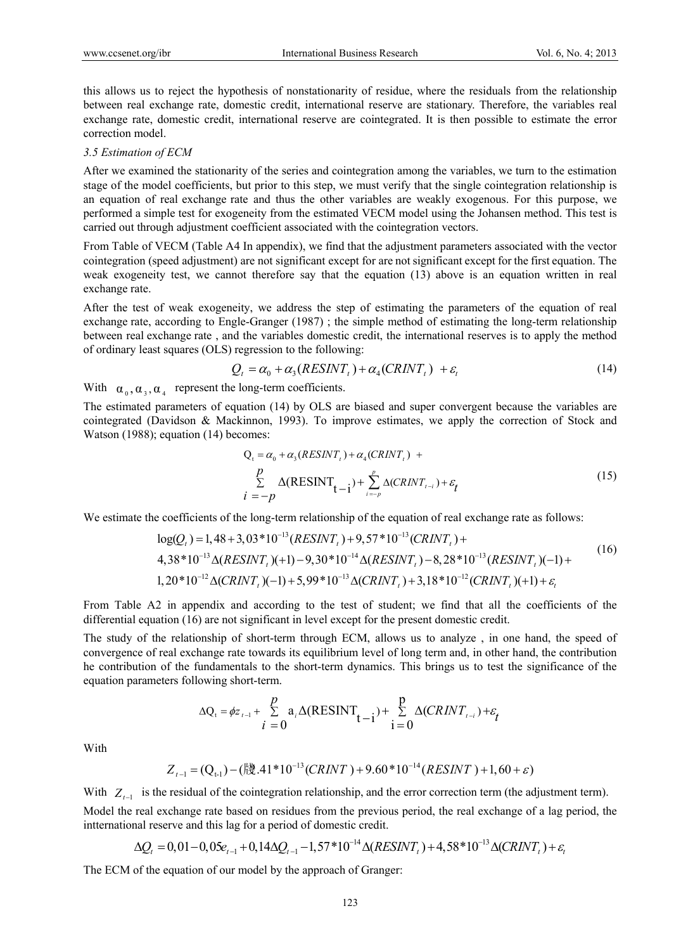this allows us to reject the hypothesis of nonstationarity of residue, where the residuals from the relationship between real exchange rate, domestic credit, international reserve are stationary. Therefore, the variables real exchange rate, domestic credit, international reserve are cointegrated. It is then possible to estimate the error correction model.

#### *3.5 Estimation of ECM*

After we examined the stationarity of the series and cointegration among the variables, we turn to the estimation stage of the model coefficients, but prior to this step, we must verify that the single cointegration relationship is an equation of real exchange rate and thus the other variables are weakly exogenous. For this purpose, we performed a simple test for exogeneity from the estimated VECM model using the Johansen method. This test is carried out through adjustment coefficient associated with the cointegration vectors.

From Table of VECM (Table A4 In appendix), we find that the adjustment parameters associated with the vector cointegration (speed adjustment) are not significant except for are not significant except for the first equation. The weak exogeneity test, we cannot therefore say that the equation (13) above is an equation written in real exchange rate.

After the test of weak exogeneity, we address the step of estimating the parameters of the equation of real exchange rate, according to Engle-Granger (1987) ; the simple method of estimating the long-term relationship between real exchange rate , and the variables domestic credit, the international reserves is to apply the method of ordinary least squares (OLS) regression to the following:

$$
Q_t = \alpha_0 + \alpha_3 (RESINT_t) + \alpha_4 (CRINT_t) + \varepsilon_t
$$
\n(14)

With  $\alpha_0, \alpha_3, \alpha_4$  represent the long-term coefficients.

The estimated parameters of equation (14) by OLS are biased and super convergent because the variables are cointegrated (Davidson & Mackinnon, 1993). To improve estimates, we apply the correction of Stock and Watson (1988); equation (14) becomes:

$$
Q_{t} = \alpha_{0} + \alpha_{3}(RESINT_{t}) + \alpha_{4}(CRINT_{t}) +
$$
\n
$$
\sum_{i= -p}^{p} \Delta(RESINT_{t-i}) + \sum_{i=-p}^{p} \Delta(CRINT_{t-i}) + \varepsilon_{f}
$$
\n(15)

We estimate the coefficients of the long-term relationship of the equation of real exchange rate as follows:

$$
log(Qt) = 1,48+3,03*10-13(RESINTt) + 9,57*10-13(CRINTt) +4,38*10-13  $\Delta (RESINTt)$ (+1) – 9,30*10<sup>-14</sup>  $\Delta (RESINTt)$  – 8,28*10<sup>-13</sup>(RESINT<sub>t</sub>)(-1) +  
1,20*10<sup>-12</sup>  $\Delta (CRINTt)$ (-1) + 5,99*10<sup>-13</sup>  $\Delta (CRINTt)$  + 3,18*10<sup>-12</sup>(CRINT<sub>t</sub>)(+1) +  $\varepsilont$  (16)
$$

From Table A2 in appendix and according to the test of student; we find that all the coefficients of the differential equation (16) are not significant in level except for the present domestic credit.

The study of the relationship of short-term through ECM, allows us to analyze , in one hand, the speed of convergence of real exchange rate towards its equilibrium level of long term and, in other hand, the contribution he contribution of the fundamentals to the short-term dynamics. This brings us to test the significance of the equation parameters following short-term.

$$
\Delta Q_{t} = \phi z_{t-1} + \sum_{i=0}^{p} a_{i} \Delta (RESINT_{t-1}) + \sum_{i=0}^{p} \Delta (CRINT_{t-i}) + \varepsilon_{t}
$$

With

$$
Z_{t-1} = (Q_{t-1}) - (\frac{18}{18} \cdot 41 \cdot 10^{-13} (CRINT) + 9.60 \cdot 10^{-14} (RESINT) + 1,60 + \varepsilon)
$$

With  $Z_{t-1}$  is the residual of the cointegration relationship, and the error correction term (the adjustment term). Model the real exchange rate based on residues from the previous period, the real exchange of a lag period, the intternational reserve and this lag for a period of domestic credit.

$$
\Delta Q_t = 0,01 - 0,05e_{t-1} + 0,14\Delta Q_{t-1} - 1,57 \cdot 10^{-14} \Delta (RESINT_t) + 4,58 \cdot 10^{-13} \Delta (CRINT_t) + \varepsilon_t
$$

The ECM of the equation of our model by the approach of Granger: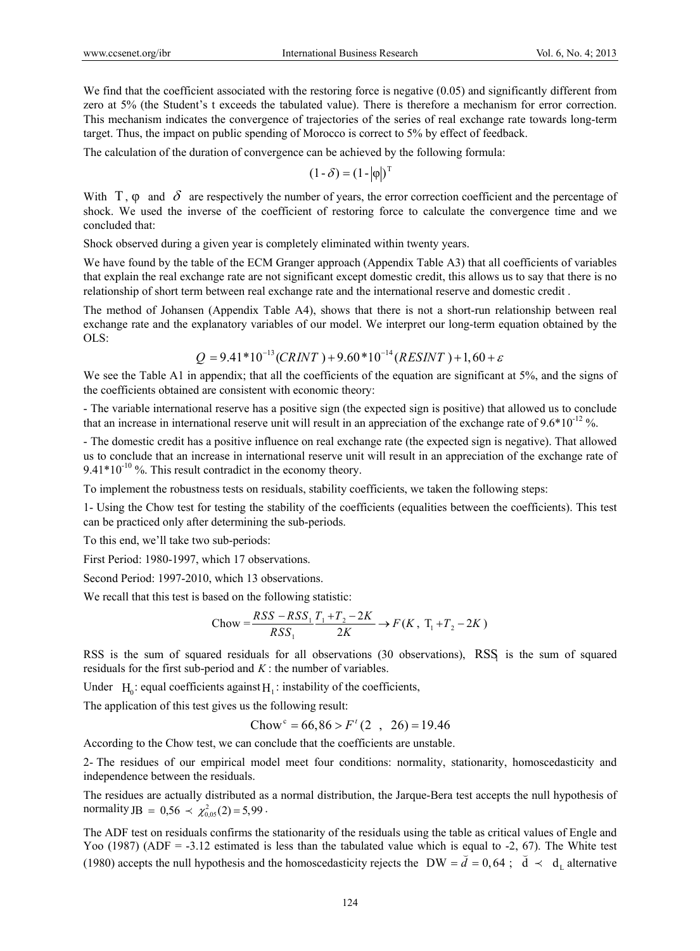We find that the coefficient associated with the restoring force is negative (0.05) and significantly different from zero at 5% (the Student's t exceeds the tabulated value). There is therefore a mechanism for error correction. This mechanism indicates the convergence of trajectories of the series of real exchange rate towards long-term target. Thus, the impact on public spending of Morocco is correct to 5% by effect of feedback.

The calculation of the duration of convergence can be achieved by the following formula:

$$
(1 - \delta) = (1 - |\phi|)^T
$$

With T,  $\varphi$  and  $\delta$  are respectively the number of years, the error correction coefficient and the percentage of shock. We used the inverse of the coefficient of restoring force to calculate the convergence time and we concluded that:

Shock observed during a given year is completely eliminated within twenty years.

We have found by the table of the ECM Granger approach (Appendix Table A3) that all coefficients of variables that explain the real exchange rate are not significant except domestic credit, this allows us to say that there is no relationship of short term between real exchange rate and the international reserve and domestic credit .

The method of Johansen (Appendix Table A4), shows that there is not a short-run relationship between real exchange rate and the explanatory variables of our model. We interpret our long-term equation obtained by the OLS:

$$
Q = 9.41*10^{-13}(CRINT) + 9.60*10^{-14}(RESINT) + 1,60 + \varepsilon
$$

We see the Table A1 in appendix; that all the coefficients of the equation are significant at 5%, and the signs of the coefficients obtained are consistent with economic theory:

- The variable international reserve has a positive sign (the expected sign is positive) that allowed us to conclude that an increase in international reserve unit will result in an appreciation of the exchange rate of  $9.6*10^{-12}$  %.

- The domestic credit has a positive influence on real exchange rate (the expected sign is negative). That allowed us to conclude that an increase in international reserve unit will result in an appreciation of the exchange rate of  $9.41*10^{-10}$ %. This result contradict in the economy theory.

To implement the robustness tests on residuals, stability coefficients, we taken the following steps:

1- Using the Chow test for testing the stability of the coefficients (equalities between the coefficients). This test can be practiced only after determining the sub-periods.

To this end, we'll take two sub-periods:

First Period: 1980-1997, which 17 observations.

Second Period: 1997-2010, which 13 observations.

We recall that this test is based on the following statistic:

$$
Chow = \frac{RSS - RSS_1}{RSS_1} \frac{T_1 + T_2 - 2K}{2K} \to F(K, T_1 + T_2 - 2K)
$$

RSS is the sum of squared residuals for all observations (30 observations), RSS is the sum of squared residuals for the first sub-period and  $K$ : the number of variables.

Under  $H_0$ : equal coefficients against  $H_1$ : instability of the coefficients,

The application of this test gives us the following result:

$$
Chow^c = 66,86 > F^t(2, 26) = 19.46
$$

According to the Chow test, we can conclude that the coefficients are unstable.

2- The residues of our empirical model meet four conditions: normality, stationarity, homoscedasticity and independence between the residuals.

The residues are actually distributed as a normal distribution, the Jarque-Bera test accepts the null hypothesis of normality JB =  $0.56 \prec \chi^2_{0.05}(2) = 5.99$ .

The ADF test on residuals confirms the stationarity of the residuals using the table as critical values of Engle and Yoo (1987) (ADF  $=$  -3.12 estimated is less than the tabulated value which is equal to -2, 67). The White test (1980) accepts the null hypothesis and the homoscedasticity rejects the DW =  $\vec{d} = 0.64$ ;  $\vec{d} \times d_L$  alternative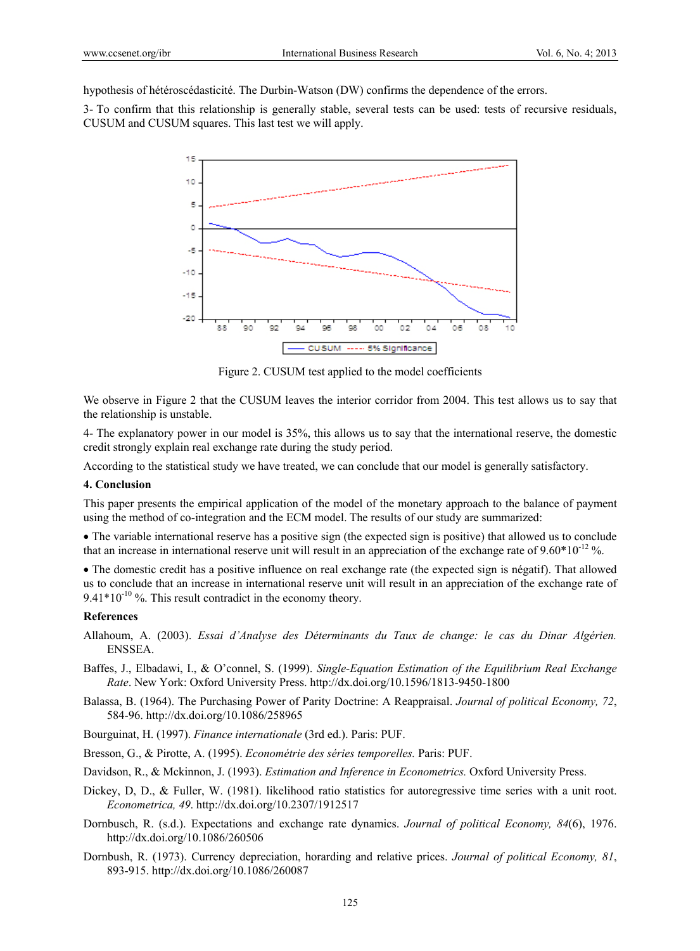hypothesis of hétéroscédasticité. The Durbin-Watson (DW) confirms the dependence of the errors.

3- To confirm that this relationship is generally stable, several tests can be used: tests of recursive residuals, CUSUM and CUSUM squares. This last test we will apply.



Figure 2. CUSUM test applied to the model coefficients

We observe in Figure 2 that the CUSUM leaves the interior corridor from 2004. This test allows us to say that the relationship is unstable.

4- The explanatory power in our model is 35%, this allows us to say that the international reserve, the domestic credit strongly explain real exchange rate during the study period.

According to the statistical study we have treated, we can conclude that our model is generally satisfactory.

### **4. Conclusion**

This paper presents the empirical application of the model of the monetary approach to the balance of payment using the method of co-integration and the ECM model. The results of our study are summarized:

 The variable international reserve has a positive sign (the expected sign is positive) that allowed us to conclude that an increase in international reserve unit will result in an appreciation of the exchange rate of  $9.60*10^{-12}$  %.

 The domestic credit has a positive influence on real exchange rate (the expected sign is négatif). That allowed us to conclude that an increase in international reserve unit will result in an appreciation of the exchange rate of  $9.41*10^{-10}$ %. This result contradict in the economy theory.

# **References**

- Allahoum, A. (2003). *Essai d'Analyse des Déterminants du Taux de change: le cas du Dinar Algérien.* ENSSEA.
- Baffes, J., Elbadawi, I., & O'connel, S. (1999). *Single-Equation Estimation of the Equilibrium Real Exchange Rate*. New York: Oxford University Press. http://dx.doi.org/10.1596/1813-9450-1800
- Balassa, B. (1964). The Purchasing Power of Parity Doctrine: A Reappraisal. *Journal of political Economy, 72*, 584-96. http://dx.doi.org/10.1086/258965

Bourguinat, H. (1997). *Finance internationale* (3rd ed.). Paris: PUF.

Bresson, G., & Pirotte, A. (1995). *Econométrie des séries temporelles.* Paris: PUF.

Davidson, R., & Mckinnon, J. (1993). *Estimation and Inference in Econometrics.* Oxford University Press.

- Dickey, D, D., & Fuller, W. (1981). likelihood ratio statistics for autoregressive time series with a unit root. *Econometrica, 49*. http://dx.doi.org/10.2307/1912517
- Dornbusch, R. (s.d.). Expectations and exchange rate dynamics. *Journal of political Economy, 84*(6), 1976. http://dx.doi.org/10.1086/260506
- Dornbush, R. (1973). Currency depreciation, horarding and relative prices. *Journal of political Economy, 81*, 893-915. http://dx.doi.org/10.1086/260087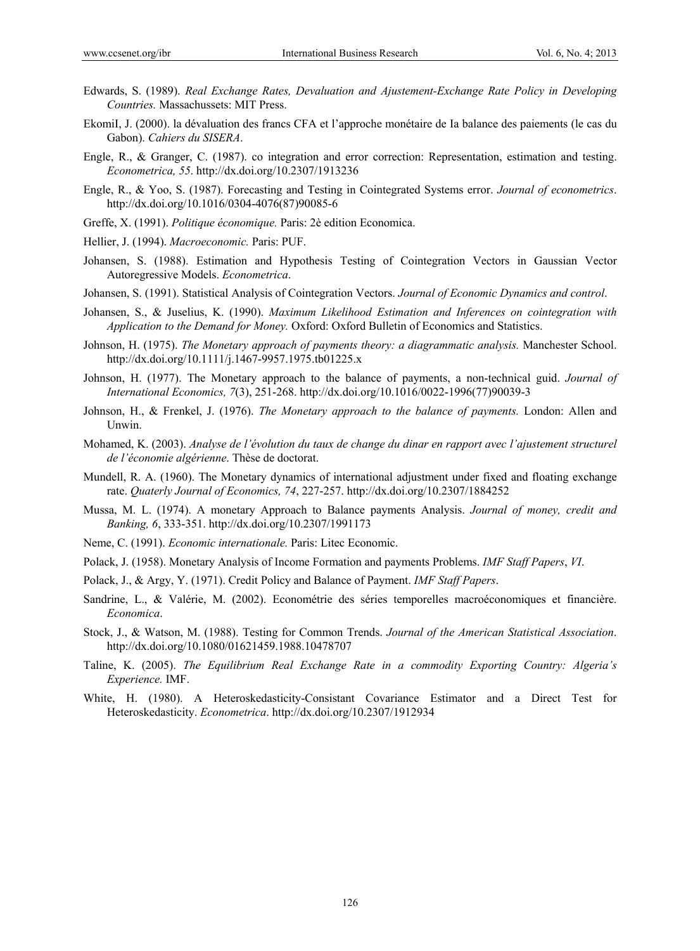- Edwards, S. (1989). *Real Exchange Rates, Devaluation and Ajustement-Exchange Rate Policy in Developing Countries.* Massachussets: MIT Press.
- EkomiI, J. (2000). la dévaluation des francs CFA et l'approche monétaire de Ia balance des paiements (le cas du Gabon). *Cahiers du SISERA*.
- Engle, R., & Granger, C. (1987). co integration and error correction: Representation, estimation and testing. *Econometrica, 55*. http://dx.doi.org/10.2307/1913236
- Engle, R., & Yoo, S. (1987). Forecasting and Testing in Cointegrated Systems error. *Journal of econometrics*. http://dx.doi.org/10.1016/0304-4076(87)90085-6
- Greffe, X. (1991). *Politique économique.* Paris: 2è edition Economica.
- Hellier, J. (1994). *Macroeconomic.* Paris: PUF.
- Johansen, S. (1988). Estimation and Hypothesis Testing of Cointegration Vectors in Gaussian Vector Autoregressive Models. *Econometrica*.
- Johansen, S. (1991). Statistical Analysis of Cointegration Vectors. *Journal of Economic Dynamics and control*.
- Johansen, S., & Juselius, K. (1990). *Maximum Likelihood Estimation and Inferences on cointegration with Application to the Demand for Money.* Oxford: Oxford Bulletin of Economics and Statistics.
- Johnson, H. (1975). *The Monetary approach of payments theory: a diagrammatic analysis.* Manchester School. http://dx.doi.org/10.1111/j.1467-9957.1975.tb01225.x
- Johnson, H. (1977). The Monetary approach to the balance of payments, a non-technical guid. *Journal of International Economics, 7*(3), 251-268. http://dx.doi.org/10.1016/0022-1996(77)90039-3
- Johnson, H., & Frenkel, J. (1976). *The Monetary approach to the balance of payments.* London: Allen and Unwin.
- Mohamed, K. (2003). *Analyse de l'évolution du taux de change du dinar en rapport avec l'ajustement structurel de l'économie algérienne*. Thèse de doctorat.
- Mundell, R. A. (1960). The Monetary dynamics of international adjustment under fixed and floating exchange rate. *Quaterly Journal of Economics, 74*, 227-257. http://dx.doi.org/10.2307/1884252
- Mussa, M. L. (1974). A monetary Approach to Balance payments Analysis. *Journal of money, credit and Banking, 6*, 333-351. http://dx.doi.org/10.2307/1991173
- Neme, C. (1991). *Economic internationale.* Paris: Litec Economic.
- Polack, J. (1958). Monetary Analysis of Income Formation and payments Problems. *IMF Staff Papers*, *VI*.
- Polack, J., & Argy, Y. (1971). Credit Policy and Balance of Payment. *IMF Staff Papers*.
- Sandrine, L., & Valérie, M. (2002). Econométrie des séries temporelles macroéconomiques et financière. *Economica*.
- Stock, J., & Watson, M. (1988). Testing for Common Trends. *Journal of the American Statistical Association*. http://dx.doi.org/10.1080/01621459.1988.10478707
- Taline, K. (2005). *The Equilibrium Real Exchange Rate in a commodity Exporting Country: Algeria's Experience.* IMF.
- White, H. (1980). A Heteroskedasticity-Consistant Covariance Estimator and a Direct Test for Heteroskedasticity. *Econometrica*. http://dx.doi.org/10.2307/1912934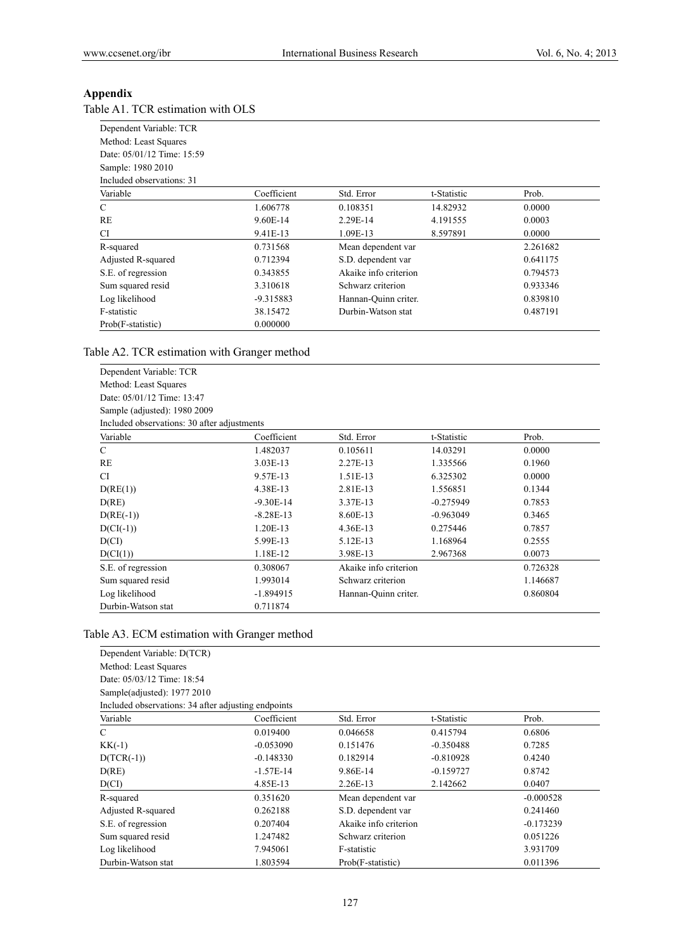# **Appendix**

Table A1. TCR estimation with OLS

| Dependent Variable: TCR    |             |                       |             |          |
|----------------------------|-------------|-----------------------|-------------|----------|
| Method: Least Squares      |             |                       |             |          |
| Date: 05/01/12 Time: 15:59 |             |                       |             |          |
| Sample: 1980 2010          |             |                       |             |          |
| Included observations: 31  |             |                       |             |          |
| Variable                   | Coefficient | Std. Error            | t-Statistic | Prob.    |
| $\mathcal{C}$              | 1.606778    | 0.108351              | 14.82932    | 0.0000   |
| RE                         | 9.60E-14    | 2.29E-14              | 4.191555    | 0.0003   |
| CI.                        | 9.41E-13    | 1.09E-13              | 8.597891    | 0.0000   |
| R-squared                  | 0.731568    | Mean dependent var    |             | 2.261682 |
| Adjusted R-squared         | 0.712394    | S.D. dependent var    |             | 0.641175 |
| S.E. of regression         | 0.343855    | Akaike info criterion |             | 0.794573 |
| Sum squared resid          | 3.310618    | Schwarz criterion     |             | 0.933346 |
| Log likelihood             | -9.315883   | Hannan-Quinn criter.  |             | 0.839810 |
| F-statistic                | 38.15472    | Durbin-Watson stat    |             | 0.487191 |
| Prob(F-statistic)          | 0.000000    |                       |             |          |

## Table A2. TCR estimation with Granger method

| Dependent Variable: TCR                     |             |                       |             |          |
|---------------------------------------------|-------------|-----------------------|-------------|----------|
| Method: Least Squares                       |             |                       |             |          |
| Date: 05/01/12 Time: 13:47                  |             |                       |             |          |
| Sample (adjusted): 1980 2009                |             |                       |             |          |
| Included observations: 30 after adjustments |             |                       |             |          |
| Variable                                    | Coefficient | Std. Error            | t-Statistic | Prob.    |
| $\mathcal{C}$                               | 1.482037    | 0.105611              | 14.03291    | 0.0000   |
| <b>RE</b>                                   | 3.03E-13    | 2.27E-13              | 1.335566    | 0.1960   |
| CI.                                         | 9.57E-13    | 1.51E-13              | 6.325302    | 0.0000   |
| D(RE(1))                                    | 4.38E-13    | 2.81E-13              | 1.556851    | 0.1344   |
| D(RE)                                       | $-9.30E-14$ | 3.37E-13              | $-0.275949$ | 0.7853   |
| $D(RE(-1))$                                 | $-8.28E-13$ | 8.60E-13              | $-0.963049$ | 0.3465   |
| $D(Cl(-1))$                                 | 1.20E-13    | 4.36E-13              | 0.275446    | 0.7857   |
| D(CI)                                       | 5.99E-13    | 5.12E-13              | 1.168964    | 0.2555   |
| D(Cl(1))                                    | 1.18E-12    | 3.98E-13              | 2.967368    | 0.0073   |
| S.E. of regression                          | 0.308067    | Akaike info criterion |             | 0.726328 |
| Sum squared resid                           | 1.993014    | Schwarz criterion     |             | 1.146687 |
| Log likelihood                              | $-1.894915$ | Hannan-Quinn criter.  |             | 0.860804 |
| Durbin-Watson stat                          | 0.711874    |                       |             |          |

# Table A3. ECM estimation with Granger method

| Dependent Variable: D(TCR)                          |             |                       |             |             |  |  |
|-----------------------------------------------------|-------------|-----------------------|-------------|-------------|--|--|
| Method: Least Squares                               |             |                       |             |             |  |  |
| Date: 05/03/12 Time: 18:54                          |             |                       |             |             |  |  |
| Sample(adjusted): 1977 2010                         |             |                       |             |             |  |  |
| Included observations: 34 after adjusting endpoints |             |                       |             |             |  |  |
| Variable                                            | Coefficient | Std. Error            | t-Statistic | Prob.       |  |  |
| C                                                   | 0.019400    | 0.046658              | 0.415794    | 0.6806      |  |  |
| $KK(-1)$                                            | $-0.053090$ | 0.151476              | $-0.350488$ | 0.7285      |  |  |
| $D(TCR(-1))$                                        | $-0.148330$ | 0.182914              | $-0.810928$ | 0.4240      |  |  |
| D(RE)                                               | $-1.57E-14$ | 9.86E-14              | $-0.159727$ | 0.8742      |  |  |
| D(CI)                                               | 4.85E-13    | $2.26E-13$            | 2.142662    | 0.0407      |  |  |
| R-squared                                           | 0.351620    | Mean dependent var    |             | $-0.000528$ |  |  |
| Adjusted R-squared                                  | 0.262188    | S.D. dependent var    |             | 0.241460    |  |  |
| S.E. of regression                                  | 0.207404    | Akaike info criterion |             | $-0.173239$ |  |  |
| Sum squared resid                                   | 1.247482    | Schwarz criterion     |             | 0.051226    |  |  |
| Log likelihood                                      | 7.945061    | F-statistic           |             | 3.931709    |  |  |
| Durbin-Watson stat                                  | 1.803594    | Prob(F-statistic)     |             | 0.011396    |  |  |